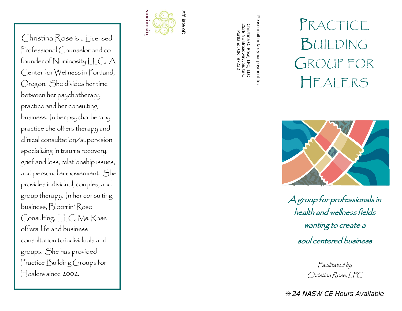Christina Rose is a Licensed<br>
Trefessional Council are and co-<br>
Fredessional Council are and co-<br>
Fredessional Council are and co-<br>
Cherence for Numinosity LLC. A<br>
Cherence is the spin-district and<br>
Cherence is the propion groups. She has provided Practice Building Groups for Christina Kose is a Licensed<br>
Herewicz of Numicrostap Licenses<br>
Forewicz of Numicrostap Licenses<br>
Letter for Wellers since Fundant,<br>
Letter for Wellers since Fundant,<br>
Experiment the proposition of the considering<br>
Design





Facilitated by Christina Rose, I PC